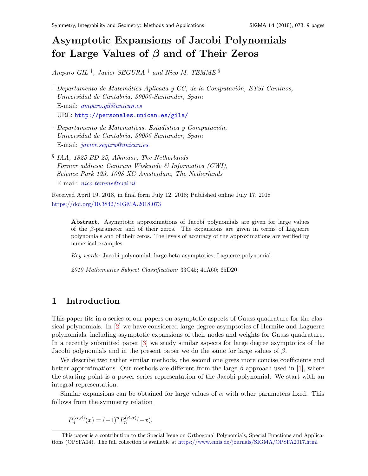# Asymptotic Expansions of Jacobi Polynomials for Large Value[s](#page-0-0) of  $\beta$  and of Their Zeros

 $Amparo \ GL^{\dagger}$ , Javier SEGURA  $^{\dagger}$  and Nico M. TEMME  $\S$ 

- <sup> $\dagger$ </sup> Departamento de Matemática Aplicada y CC, de la Computación, ETSI Caminos, Universidad de Cantabria, 39005-Santander, Spain E-mail: [amparo.gil@unican.es](mailto:amparo.gil@unican.es) URL: <http://personales.unican.es/gila/>
- $\frac{1}{4}$  Departamento de Matemáticas, Estadistica y Computación, Universidad de Cantabria, 39005 Santander, Spain E-mail: [javier.segura@unican.es](mailto:javier.segura@unican.es)
- § IAA, 1825 BD 25, Alkmaar, The Netherlands Former address: Centrum Wiskunde & Informatica (CWI), Science Park 123, 1098 XG Amsterdam, The Netherlands E-mail: [nico.temme@cwi.nl](mailto:nico.temme@cwi.nl)

Received April 19, 2018, in final form July 12, 2018; Published online July 17, 2018 <https://doi.org/10.3842/SIGMA.2018.073>

Abstract. Asymptotic approximations of Jacobi polynomials are given for large values of the  $\beta$ -parameter and of their zeros. The expansions are given in terms of Laguerre polynomials and of their zeros. The levels of accuracy of the approximations are verified by numerical examples.

Key words: Jacobi polynomial; large-beta asymptotics; Laguerre polynomial

2010 Mathematics Subject Classification: 33C45; 41A60; 65D20

# 1 Introduction

This paper fits in a series of our papers on asymptotic aspects of Gauss quadrature for the classical polynomials. In [\[2\]](#page-8-0) we have considered large degree asymptotics of Hermite and Laguerre polynomials, including asymptotic expansions of their nodes and weights for Gauss quadrature. In a recently submitted paper [\[3\]](#page-8-1) we study similar aspects for large degree asymptotics of the Jacobi polynomials and in the present paper we do the same for large values of  $\beta$ .

We describe two rather similar methods, the second one gives more concise coefficients and better approximations. Our methods are different from the large  $\beta$  approach used in [\[1\]](#page-8-2), where the starting point is a power series representation of the Jacobi polynomial. We start with an integral representation.

Similar expansions can be obtained for large values of  $\alpha$  with other parameters fixed. This follows from the symmetry relation

$$
P_n^{(\alpha,\beta)}(x) = (-1)^n P_n^{(\beta,\alpha)}(-x).
$$

<span id="page-0-0"></span>This paper is a contribution to the Special Issue on Orthogonal Polynomials, Special Functions and Applications (OPSFA14). The full collection is available at <https://www.emis.de/journals/SIGMA/OPSFA2017.html>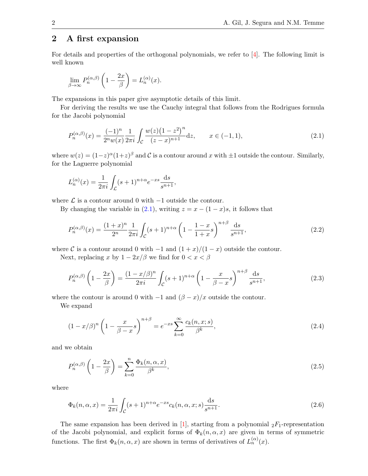# <span id="page-1-4"></span>2 A first expansion

For details and properties of the orthogonal polynomials, we refer to [\[4\]](#page-8-3). The following limit is well known

$$
\lim_{\beta \to \infty} P_n^{(\alpha,\beta)} \left( 1 - \frac{2x}{\beta} \right) = L_n^{(\alpha)}(x).
$$

The expansions in this paper give asymptotic details of this limit.

For deriving the results we use the Cauchy integral that follows from the Rodrigues formula for the Jacobi polynomial

<span id="page-1-0"></span>
$$
P_n^{(\alpha,\beta)}(x) = \frac{(-1)^n}{2^n w(x)} \frac{1}{2\pi i} \int_{\mathcal{C}} \frac{w(z) (1-z^2)^n}{(z-x)^{n+1}} \mathrm{d}z, \qquad x \in (-1,1), \tag{2.1}
$$

where  $w(z) = (1-z)^{\alpha}(1+z)^{\beta}$  and C is a contour around x with  $\pm 1$  outside the contour. Similarly, for the Laguerre polynomial

$$
L_n^{(\alpha)}(x) = \frac{1}{2\pi i} \int_{\mathcal{L}} (s+1)^{n+\alpha} e^{-xs} \frac{ds}{s^{n+1}},
$$

where  $\mathcal L$  is a contour around 0 with  $-1$  outside the contour.

By changing the variable in  $(2.1)$ , writing  $z = x - (1 - x)s$ , it follows that

<span id="page-1-6"></span>
$$
P_n^{(\alpha,\beta)}(x) = \frac{(1+x)^n}{2^n} \frac{1}{2\pi i} \int_C (s+1)^{n+\alpha} \left(1 - \frac{1-x}{1+x}s\right)^{n+\beta} \frac{ds}{s^{n+1}},\tag{2.2}
$$

where C is a contour around 0 with  $-1$  and  $(1+x)/(1-x)$  outside the contour.

Next, replacing x by  $1 - 2x/\beta$  we find for  $0 < x < \beta$ 

<span id="page-1-5"></span>
$$
P_n^{(\alpha,\beta)}\left(1-\frac{2x}{\beta}\right) = \frac{(1-x/\beta)^n}{2\pi i} \int_{\mathcal{C}} (s+1)^{n+\alpha} \left(1-\frac{x}{\beta-x}s\right)^{n+\beta} \frac{ds}{s^{n+1}},\tag{2.3}
$$

where the contour is around 0 with  $-1$  and  $(\beta - x)/x$  outside the contour.

We expand

<span id="page-1-1"></span>
$$
(1 - x/\beta)^n \left(1 - \frac{x}{\beta - x}s\right)^{n + \beta} = e^{-xs} \sum_{k=0}^{\infty} \frac{c_k(n, x; s)}{\beta^k},
$$
\n(2.4)

and we obtain

<span id="page-1-2"></span>
$$
P_n^{(\alpha,\beta)}\left(1-\frac{2x}{\beta}\right) = \sum_{k=0}^n \frac{\Phi_k(n,\alpha,x)}{\beta^k},\tag{2.5}
$$

where

<span id="page-1-3"></span>
$$
\Phi_k(n,\alpha,x) = \frac{1}{2\pi i} \int_{\mathcal{C}} (s+1)^{n+\alpha} e^{-xs} c_k(n,\alpha,x;s) \frac{ds}{s^{n+1}}.
$$
\n(2.6)

The same expansion has been derived in [\[1\]](#page-8-2), starting from a polynomial  $_2F_1$ -representation of the Jacobi polynomial, and explicit forms of  $\Phi_k(n, \alpha, x)$  are given in terms of symmetric functions. The first  $\Phi_k(n, \alpha, x)$  are shown in terms of derivatives of  $L_n^{(\alpha)}(x)$ .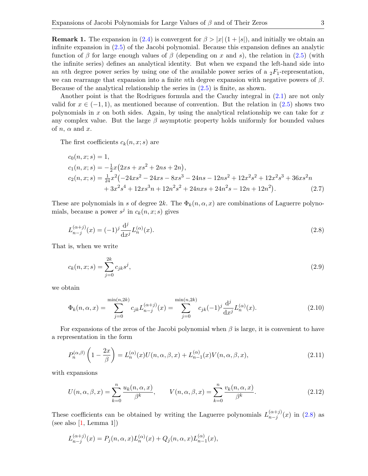**Remark 1.** The expansion in [\(2.4\)](#page-1-1) is convergent for  $\beta > |x| (1 + |s|)$ , and initially we obtain an infinite expansion in [\(2.5\)](#page-1-2) of the Jacobi polynomial. Because this expansion defines an analytic function of  $\beta$  for large enough values of  $\beta$  (depending on x and s), the relation in [\(2.5\)](#page-1-2) (with the infinite series) defines an analytical identity. But when we expand the left-hand side into an *n*th degree power series by using one of the available power series of a  $_2F_1$ -representation, we can rearrange that expansion into a finite nth degree expansion with negative powers of  $\beta$ . Because of the analytical relationship the series in [\(2.5\)](#page-1-2) is finite, as shown.

Another point is that the Rodrigues formula and the Cauchy integral in [\(2.1\)](#page-1-0) are not only valid for  $x \in (-1, 1)$ , as mentioned because of convention. But the relation in [\(2.5\)](#page-1-2) shows two polynomials in x on both sides. Again, by using the analytical relationship we can take for  $x$ any complex value. But the large  $\beta$  asymptotic property holds uniformly for bounded values of  $n, \alpha$  and  $x$ .

The first coefficients  $c_k(n, x; s)$  are

<span id="page-2-2"></span>
$$
c_0(n, x; s) = 1,
$$
  
\n
$$
c_1(n, x; s) = -\frac{1}{2}x(2xs + xs^2 + 2ns + 2n),
$$
  
\n
$$
c_2(n, x; s) = \frac{1}{24}x^2(-24xs^2 - 24xs - 8xs^3 - 24ns - 12ns^2 + 12x^2s^2 + 12x^2s^3 + 36xs^2n + 3x^2s^4 + 12xs^3n + 12ns^2s^2 + 24nxs + 24n^2s - 12n + 12n^2).
$$
\n(2.7)

These are polynomials in s of degree 2k. The  $\Phi_k(n, \alpha, x)$  are combinations of Laguerre polynomials, because a power  $s^j$  in  $c_k(n, x; s)$  gives

<span id="page-2-0"></span>
$$
L_{n-j}^{(\alpha+j)}(x) = (-1)^j \frac{\mathrm{d}^j}{\mathrm{d}x^j} L_n^{(\alpha)}(x). \tag{2.8}
$$

That is, when we write

<span id="page-2-4"></span>
$$
c_k(n, x; s) = \sum_{j=0}^{2k} c_{jk} s^j,
$$
\n(2.9)

we obtain

<span id="page-2-5"></span>
$$
\Phi_k(n,\alpha,x) = \sum_{j=0}^{\min(n,2k)} c_{jk} L_{n-j}^{(\alpha+j)}(x) = \sum_{j=0}^{\min(n,2k)} c_{jk}(-1)^j \frac{\mathrm{d}^j}{\mathrm{d}x^j} L_n^{(\alpha)}(x). \tag{2.10}
$$

For expansions of the zeros of the Jacobi polynomial when  $\beta$  is large, it is convenient to have a representation in the form

<span id="page-2-3"></span>
$$
P_n^{(\alpha,\beta)}\left(1-\frac{2x}{\beta}\right) = L_n^{(\alpha)}(x)U(n,\alpha,\beta,x) + L_{n-1}^{(\alpha)}(x)V(n,\alpha,\beta,x),\tag{2.11}
$$

with expansions

<span id="page-2-1"></span>
$$
U(n,\alpha,\beta,x) = \sum_{k=0}^{n} \frac{u_k(n,\alpha,x)}{\beta^k}, \qquad V(n,\alpha,\beta,x) = \sum_{k=0}^{n} \frac{v_k(n,\alpha,x)}{\beta^k}.
$$
 (2.12)

These coefficients can be obtained by writing the Laguerre polynomials  $L_{n-i}^{(\alpha+j)}$  $_{n-j}^{(\alpha+j)}(x)$  in  $(2.8)$  as (see also  $[1, \text{Lemma } 1]$  $[1, \text{Lemma } 1]$ )

$$
L_{n-j}^{(\alpha+j)}(x) = P_j(n, \alpha, x) L_n^{(\alpha)}(x) + Q_j(n, \alpha, x) L_{n-1}^{(\alpha)}(x),
$$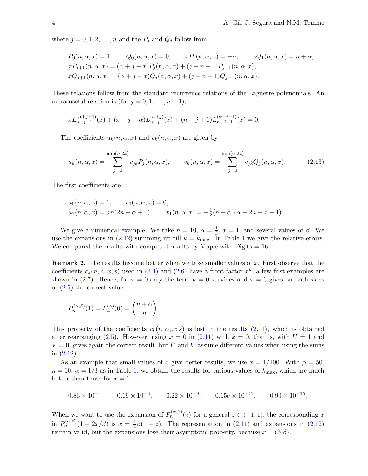where  $j = 0, 1, 2, \ldots, n$  and the  $P_j$  and  $Q_j$  follow from

$$
P_0(n, \alpha, x) = 1, \qquad Q_0(n, \alpha, x) = 0, \qquad xP_1(n, \alpha, x) = -n, \qquad xQ_1(n, \alpha, x) = n + \alpha,
$$
  
\n
$$
xP_{j+1}(n, \alpha, x) = (\alpha + j - x)P_j(n, \alpha, x) + (j - n - 1)P_{j-1}(n, \alpha, x),
$$
  
\n
$$
xQ_{j+1}(n, \alpha, x) = (\alpha + j - x)Q_j(n, \alpha, x) + (j - n - 1)Q_{j-1}(n, \alpha, x).
$$

These relations follow from the standard recurrence relations of the Laguerre polynomials. An extra useful relation is (for  $j = 0, 1, \ldots, n - 1$ ),

$$
xL_{n-j-1}^{(\alpha+j+1)}(x) + (x-j-\alpha)L_{n-j}^{(\alpha+j)}(x) + (n-j+1)L_{n-j+1}^{(\alpha+j-1)}(x) = 0.
$$

The coefficients  $u_k(n, \alpha, x)$  and  $v_k(n, \alpha, x)$  are given by

<span id="page-3-0"></span>
$$
u_k(n, \alpha, x) = \sum_{j=0}^{\min(n, 2k)} c_{jk} P_j(n, \alpha, x), \qquad v_k(n, \alpha, x) = \sum_{j=0}^{\min(n, 2k)} c_{jk} Q_j(n, \alpha, x). \tag{2.13}
$$

The first coefficients are

$$
u_0(n, \alpha, x) = 1, \qquad v_0(n, \alpha, x) = 0,
$$
  
\n
$$
u_1(n, \alpha, x) = \frac{1}{2}n(2n + \alpha + 1), \qquad v_1(n, \alpha, x) = -\frac{1}{2}(n + \alpha)(\alpha + 2n + x + 1).
$$

We give a numerical example. We take  $n = 10$ ,  $\alpha = \frac{1}{3}$  $\frac{1}{3}$ ,  $x = 1$ , and several values of  $\beta$ . We use the expansions in  $(2.12)$  summing up till  $k = k_{\text{max}}$ . In Table [1](#page-4-0) we give the relative errors. We compared the results with computed results by Maple with Digits  $= 16$ .

<span id="page-3-1"></span>Remark 2. The results become better when we take smaller values of x. First observe that the coefficients  $c_k(n, \alpha, x; s)$  used in [\(2.4\)](#page-1-1) and [\(2.6\)](#page-1-3) have a front factor  $x^k$ , a few first examples are shown in [\(2.7\)](#page-2-2). Hence, for  $x = 0$  only the term  $k = 0$  survives and  $x = 0$  gives on both sides of [\(2.5\)](#page-1-2) the correct value

$$
P_n^{(\alpha,\beta)}(1) = L_n^{(\alpha)}(0) = \binom{n+\alpha}{n}.
$$

This property of the coefficients  $c_k(n, \alpha, x; s)$  is lost in the results [\(2.11\)](#page-2-3), which is obtained after rearranging [\(2.5\)](#page-1-2). However, using  $x = 0$  in [\(2.11\)](#page-2-3) with  $k = 0$ , that is, with  $U = 1$  and  $V = 0$ , gives again the correct result, but U and V assume different values when using the sums in [\(2.12\)](#page-2-1).

As an example that small values of x give better results, we use  $x = 1/100$ . With  $\beta = 50$ ,  $n = 10, \alpha = 1/3$  as in Table [1,](#page-4-0) we obtain the results for various values of  $k_{\text{max}}$ , which are much better than those for  $x = 1$ :

$$
0.86 \times 10^{-4}
$$
,  $0.19 \times 10^{-6}$ ,  $0.22 \times 10^{-9}$ ,  $0.15e \times 10^{-12}$ ,  $0.90 \times 10^{-15}$ .

When we want to use the expansion of  $P_n^{(\alpha,\beta)}(z)$  for a general  $z \in (-1,1)$ , the corresponding x in  $P_n^{(\alpha,\beta)}(1-2x/\beta)$  is  $x=\frac{1}{2}$  $\frac{1}{2}\beta(1-z)$ . The representation in [\(2.11\)](#page-2-3) and expansions in [\(2.12\)](#page-2-1) remain valid, but the expansions lose their asymptotic property, because  $x = \mathcal{O}(\beta)$ .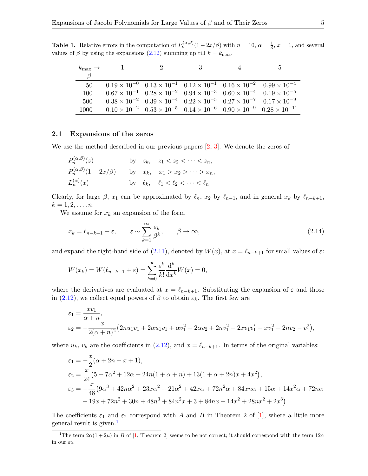**Table 1.** Relative errors in the computation of  $P_n^{(\alpha,\beta)}(1-2x/\beta)$  with  $n=10$ ,  $\alpha=\frac{1}{3}$ ,  $x=1$ , and several values of  $\beta$  by using the expansions [\(2.12\)](#page-2-1) summing up till  $k = k_{\text{max}}$ .

<span id="page-4-0"></span>

| $k_{\text{max}} \rightarrow 1$ |  | $\mathbb{R}^3$ |                                                                                                               | $\mathcal{D}$                                                                                                  |
|--------------------------------|--|----------------|---------------------------------------------------------------------------------------------------------------|----------------------------------------------------------------------------------------------------------------|
| В                              |  |                |                                                                                                               |                                                                                                                |
| 50                             |  |                | $0.19 \times 10^{-0}$ $0.13 \times 10^{-1}$ $0.12 \times 10^{-1}$ $0.16 \times 10^{-2}$ $0.99 \times 10^{-4}$ |                                                                                                                |
| 100                            |  |                | $0.67 \times 10^{-1}$ $0.28 \times 10^{-2}$ $0.94 \times 10^{-3}$ $0.60 \times 10^{-4}$ $0.19 \times 10^{-5}$ |                                                                                                                |
| 500                            |  |                | $0.38 \times 10^{-2}$ $0.39 \times 10^{-4}$ $0.22 \times 10^{-5}$ $0.27 \times 10^{-7}$ $0.17 \times 10^{-9}$ |                                                                                                                |
| 1000                           |  |                |                                                                                                               | $0.10 \times 10^{-2}$ $0.53 \times 10^{-5}$ $0.14 \times 10^{-6}$ $0.90 \times 10^{-9}$ $0.28 \times 10^{-11}$ |

### <span id="page-4-3"></span>2.1 Expansions of the zeros

We use the method described in our previous papers [\[2,](#page-8-0) [3\]](#page-8-1). We denote the zeros of

$$
P_n^{(\alpha,\beta)}(z)
$$
 by  $z_k$ ,  $z_1 < z_2 < \cdots < z_n$ ,  
\n
$$
P_n^{(\alpha,\beta)}(1 - 2x/\beta)
$$
 by  $x_k$ ,  $x_1 > x_2 > \cdots > x_n$ ,  
\n
$$
L_n^{(\alpha)}(x)
$$
 by  $\ell_k$ ,  $\ell_1 < \ell_2 < \cdots < \ell_n$ .

Clearly, for large  $\beta$ ,  $x_1$  can be approximated by  $\ell_n$ ,  $x_2$  by  $\ell_{n-1}$ , and in general  $x_k$  by  $\ell_{n-k+1}$ ,  $k = 1, 2, \ldots, n$ .

We assume for  $x_k$  an expansion of the form

<span id="page-4-2"></span>
$$
x_k = \ell_{n-k+1} + \varepsilon, \qquad \varepsilon \sim \sum_{k=1}^{\infty} \frac{\varepsilon_k}{\beta^k}, \qquad \beta \to \infty,
$$
\n(2.14)

and expand the right-hand side of [\(2.11\)](#page-2-3), denoted by  $W(x)$ , at  $x = \ell_{n-k+1}$  for small values of  $\varepsilon$ :

$$
W(x_k) = W(\ell_{n-k+1} + \varepsilon) = \sum_{k=0}^{\infty} \frac{\varepsilon^k}{k!} \frac{\mathrm{d}^k}{\mathrm{d}x^k} W(x) = 0,
$$

where the derivatives are evaluated at  $x = \ell_{n-k+1}$ . Substituting the expansion of  $\varepsilon$  and those in [\(2.12\)](#page-2-1), we collect equal powers of  $\beta$  to obtain  $\varepsilon_k$ . The first few are

$$
\varepsilon_1 = \frac{xv_1}{\alpha + n},
$$
  
\n
$$
\varepsilon_2 = -\frac{x}{2(\alpha + n)^2} (2nu_1v_1 + 2\alpha u_1v_1 + \alpha v_1^2 - 2\alpha v_2 + 2nv_1^2 - 2xv_1v_1' - xv_1^2 - 2nv_2 - v_1^2),
$$

where  $u_k$ ,  $v_k$  are the coefficients in [\(2.12\)](#page-2-1), and  $x = \ell_{n-k+1}$ . In terms of the original variables:

$$
\varepsilon_1 = -\frac{x}{2}(\alpha + 2n + x + 1),
$$
  
\n
$$
\varepsilon_2 = \frac{x}{24}(5 + 7\alpha^2 + 12\alpha + 24n(1 + \alpha + n) + 13(1 + \alpha + 2n)x + 4x^2),
$$
  
\n
$$
\varepsilon_3 = -\frac{x}{48}(9\alpha^3 + 42n\alpha^2 + 23x\alpha^2 + 21\alpha^2 + 42x\alpha + 72n^2\alpha + 84xn\alpha + 15\alpha + 14x^2\alpha + 72n\alpha + 19x + 72n^2 + 30n + 48n^3 + 84n^2x + 3 + 84nx + 14x^2 + 28nx^2 + 2x^3).
$$

The coefficients  $\varepsilon_1$  and  $\varepsilon_2$  correspond with A and B in Theorem 2 of [\[1\]](#page-8-2), where a little more general result is given. $<sup>1</sup>$  $<sup>1</sup>$  $<sup>1</sup>$ </sup>

<span id="page-4-1"></span><sup>&</sup>lt;sup>1</sup>The term  $2\alpha(1+2\mu)$  in B of [\[1,](#page-8-2) Theorem 2] seems to be not correct; it should correspond with the term  $12\alpha$ in our  $\varepsilon_2.$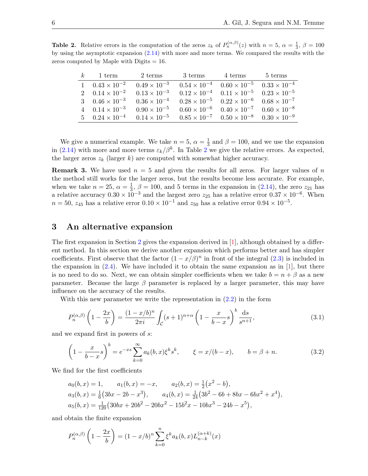<span id="page-5-0"></span>**Table 2.** Relative errors in the computation of the zeros  $z_k$  of  $P_n^{(\alpha,\beta)}(z)$  with  $n=5$ ,  $\alpha=\frac{1}{3}$ ,  $\beta=100$ by using the asymptotic expansion [\(2.14\)](#page-4-2) with more and more terms. We compared the results with the zeros computed by Maple with Digits  $= 16$ .

| k | 1 term                        | 2 terms               | 3 terms | 4 terms                                                           | 5 terms |
|---|-------------------------------|-----------------------|---------|-------------------------------------------------------------------|---------|
|   | $1 \quad 0.43 \times 10^{-2}$ | $0.49 \times 10^{-3}$ |         | $0.54 \times 10^{-4}$ $0.60 \times 10^{-5}$ $0.33 \times 10^{-4}$ |         |
|   | 2 $0.14 \times 10^{-2}$       | $0.13 \times 10^{-3}$ |         | $0.12 \times 10^{-4}$ $0.11 \times 10^{-5}$ $0.23 \times 10^{-5}$ |         |
|   | 3 $0.46 \times 10^{-3}$       | $0.36 \times 10^{-4}$ |         | $0.28 \times 10^{-5}$ $0.22 \times 10^{-6}$ $0.68 \times 10^{-7}$ |         |
|   | 4 $0.14 \times 10^{-3}$       | $0.90 \times 10^{-5}$ |         | $0.60 \times 10^{-6}$ $0.40 \times 10^{-7}$ $0.60 \times 10^{-8}$ |         |
|   | $5 \t 0.24 \times 10^{-4}$    | $0.14 \times 10^{-5}$ |         | $0.85 \times 10^{-7}$ $0.50 \times 10^{-8}$ $0.30 \times 10^{-9}$ |         |

We give a numerical example. We take  $n=5, \alpha=\frac{1}{3}$  $\frac{1}{3}$  and  $\beta = 100$ , and we use the expansion in [\(2.14\)](#page-4-2) with more and more terms  $\varepsilon_k/\beta^k$ . In Table [2](#page-5-0) we give the relative errors. As expected, the larger zeros  $z_k$  (larger k) are computed with somewhat higher accuracy.

<span id="page-5-3"></span>**Remark 3.** We have used  $n = 5$  and given the results for all zeros. For larger values of n the method still works for the larger zeros, but the results become less accurate. For example, when we take  $n=25, \alpha=\frac{1}{3}$  $\frac{1}{3}$ ,  $\beta = 100$ , and 5 terms in the expansion in [\(2.14\)](#page-4-2), the zero  $z_{21}$  has a relative accuracy  $0.30 \times 10^{-3}$  and the largest zero  $z_{25}$  has a relative error  $0.37 \times 10^{-6}$ . When  $n = 50$ ,  $z_{45}$  has a relative error  $0.10 \times 10^{-1}$  and  $z_{50}$  has a relative error  $0.94 \times 10^{-5}$ .

## 3 An alternative expansion

The first expansion in Section [2](#page-1-4) gives the expansion derived in  $[1]$ , although obtained by a different method. In this section we derive another expansion which performs better and has simpler coefficients. First observe that the factor  $(1 - x/\beta)^n$  in front of the integral  $(2.3)$  is included in the expansion in  $(2.4)$ . We have included it to obtain the same expansion as in [\[1\]](#page-8-2), but there is no need to do so. Next, we can obtain simpler coefficients when we take  $b = n + \beta$  as a new parameter. Because the large  $\beta$  parameter is replaced by a larger parameter, this may have influence on the accuracy of the results.

With this new parameter we write the representation in  $(2.2)$  in the form

<span id="page-5-2"></span>
$$
P_n^{(\alpha,\beta)}\left(1-\frac{2x}{b}\right) = \frac{(1-x/b)^n}{2\pi i} \int_{\mathcal{C}} (s+1)^{n+\alpha} \left(1-\frac{x}{b-x}s\right)^b \frac{ds}{s^{n+1}},\tag{3.1}
$$

and we expand first in powers of s:

<span id="page-5-1"></span>
$$
\left(1 - \frac{x}{b - x}s\right)^b = e^{-xs} \sum_{k=0}^{\infty} a_k(b, x)\xi^k s^k, \qquad \xi = x/(b - x), \qquad b = \beta + n. \tag{3.2}
$$

We find for the first coefficients

$$
a_0(b, x) = 1, \t a_1(b, x) = -x, \t a_2(b, x) = \frac{1}{2}(x^2 - b),
$$
  
\n
$$
a_3(b, x) = \frac{1}{6}(3bx - 2b - x^3), \t a_4(b, x) = \frac{1}{24}(3b^2 - 6b + 8bx - 6bx^2 + x^4),
$$
  
\n
$$
a_5(b, x) = \frac{1}{120}(30bx + 20b^2 - 20bx^2 - 15b^2x - 10bx^3 - 24b - x^5),
$$

and obtain the finite expansion

$$
P_n^{(\alpha,\beta)}\left(1-\frac{2x}{b}\right) = (1-x/b)^n \sum_{k=0}^n \xi^k a_k(b,x) L_{n-k}^{(\alpha+k)}(x)
$$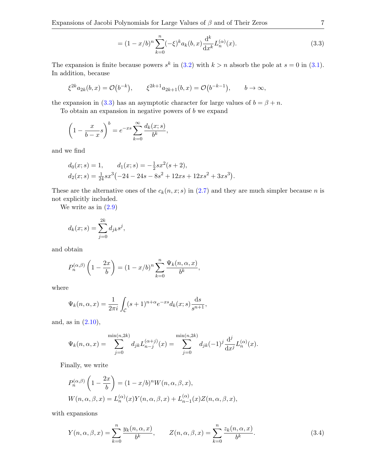<span id="page-6-0"></span>
$$
= (1 - x/b)^n \sum_{k=0}^n (-\xi)^k a_k(b, x) \frac{\mathrm{d}^k}{\mathrm{d}x^k} L_n^{(\alpha)}(x). \tag{3.3}
$$

The expansion is finite because powers  $s^k$  in [\(3.2\)](#page-5-1) with  $k > n$  absorb the pole at  $s = 0$  in [\(3.1\)](#page-5-2). In addition, because

$$
\xi^{2k} a_{2k}(b, x) = \mathcal{O}(b^{-k}), \qquad \xi^{2k+1} a_{2k+1}(b, x) = \mathcal{O}(b^{-k-1}), \qquad b \to \infty,
$$

the expansion in [\(3.3\)](#page-6-0) has an asymptotic character for large values of  $b = \beta + n$ .

To obtain an expansion in negative powers of  $b$  we expand

$$
\left(1 - \frac{x}{b-x}s\right)^b = e^{-xs} \sum_{k=0}^{\infty} \frac{d_k(x;s)}{b^k},
$$

and we find

$$
d_0(x; s) = 1, \t d_1(x; s) = -\frac{1}{2}sx^2(s+2),
$$
  

$$
d_2(x; s) = \frac{1}{24}sx^3(-24 - 24s - 8s^2 + 12xs + 12xs^2 + 3xs^3).
$$

These are the alternative ones of the  $c_k(n, x; s)$  in [\(2.7\)](#page-2-2) and they are much simpler because n is not explicitly included.

We write as in  $(2.9)$ 

$$
d_k(x;s) = \sum_{j=0}^{2k} d_{jk} s^j,
$$

and obtain

$$
P_n^{(\alpha,\beta)}\left(1-\frac{2x}{b}\right) = (1-x/b)^n \sum_{k=0}^n \frac{\Psi_k(n,\alpha,x)}{b^k},
$$

where

$$
\Psi_k(n, \alpha, x) = \frac{1}{2\pi i} \int_C (s+1)^{n+\alpha} e^{-xs} d_k(x; s) \frac{ds}{s^{n+1}},
$$

and, as in  $(2.10)$ ,

$$
\Psi_k(n, \alpha, x) = \sum_{j=0}^{\min(n, 2k)} d_{jk} L_{n-j}^{(\alpha+j)}(x) = \sum_{j=0}^{\min(n, 2k)} d_{jk} (-1)^j \frac{d^j}{dx^j} L_n^{(\alpha)}(x).
$$

Finally, we write

$$
P_n^{(\alpha,\beta)}\left(1-\frac{2x}{b}\right) = (1-x/b)^n W(n,\alpha,\beta,x),
$$
  
 
$$
W(n,\alpha,\beta,x) = L_n^{(\alpha)}(x) Y(n,\alpha,\beta,x) + L_{n-1}^{(\alpha)}(x) Z(n,\alpha,\beta,x),
$$

with expansions

<span id="page-6-1"></span>
$$
Y(n,\alpha,\beta,x) = \sum_{k=0}^{n} \frac{y_k(n,\alpha,x)}{b^k}, \qquad Z(n,\alpha,\beta,x) = \sum_{k=0}^{n} \frac{z_k(n,\alpha,x)}{b^k}.
$$
 (3.4)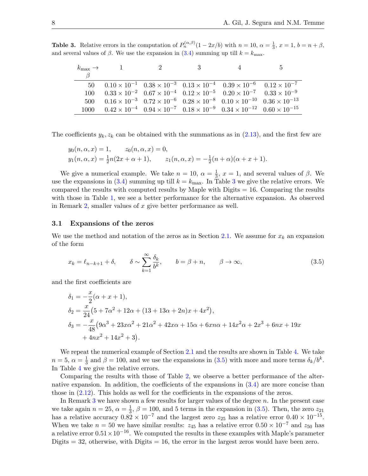**Table 3.** Relative errors in the computation of  $P_n^{(\alpha,\beta)}(1-2x/b)$  with  $n=10$ ,  $\alpha=\frac{1}{3}$ ,  $x=1$ ,  $b=n+\beta$ , and several values of  $\beta$ . We use the expansion in [\(3.4\)](#page-6-1) summing up till  $k = k_{\text{max}}$ .

<span id="page-7-0"></span>

|         | $k_{\text{max}} \rightarrow 1$ | $\overline{\phantom{a}}$ 2 | $-3$ |                                                                                                                  | 5. |
|---------|--------------------------------|----------------------------|------|------------------------------------------------------------------------------------------------------------------|----|
| $\beta$ |                                |                            |      |                                                                                                                  |    |
|         |                                |                            |      | 50 $0.10 \times 10^{-1}$ $0.38 \times 10^{-3}$ $0.13 \times 10^{-4}$ $0.39 \times 10^{-6}$ $0.12 \times 10^{-7}$ |    |
| 100.    |                                |                            |      | $0.33 \times 10^{-2}$ $0.67 \times 10^{-4}$ $0.12 \times 10^{-5}$ $0.20 \times 10^{-7}$ $0.33 \times 10^{-9}$    |    |
| 500-    |                                |                            |      | $0.16 \times 10^{-3}$ $0.72 \times 10^{-6}$ $0.28 \times 10^{-8}$ $0.10 \times 10^{-10}$ $0.36 \times 10^{-13}$  |    |
| 1000    |                                |                            |      | $0.42 \times 10^{-4}$ $0.94 \times 10^{-7}$ $0.18 \times 10^{-9}$ $0.34 \times 10^{-12}$ $0.60 \times 10^{-15}$  |    |

The coefficients  $y_k, z_k$  can be obtained with the summations as in  $(2.13)$ , and the first few are

$$
y_0(n, \alpha, x) = 1,
$$
  $z_0(n, \alpha, x) = 0,$   
\n $y_1(n, \alpha, x) = \frac{1}{2}n(2x + \alpha + 1),$   $z_1(n, \alpha, x) = -\frac{1}{2}(n + \alpha)(\alpha + x + 1).$ 

We give a numerical example. We take  $n = 10$ ,  $\alpha = \frac{1}{3}$  $\frac{1}{3}$ ,  $x = 1$ , and several values of  $\beta$ . We use the expansions in [\(3.4\)](#page-6-1) summing up till  $k = k_{\text{max}}$ . In Table [3](#page-7-0) we give the relative errors. We compared the results with computed results by Maple with Digits = 16. Comparing the results with those in Table [1,](#page-4-0) we see a better performance for the alternative expansion. As observed in Remark [2,](#page-3-1) smaller values of  $x$  give better performance as well.

#### 3.1 Expansions of the zeros

We use the method and notation of the zeros as in Section [2.1.](#page-4-3) We assume for  $x_k$  an expansion of the form

<span id="page-7-1"></span>
$$
x_k = \ell_{n-k+1} + \delta, \qquad \delta \sim \sum_{k=1}^{\infty} \frac{\delta_k}{b^k}, \qquad b = \beta + n, \qquad \beta \to \infty,
$$
 (3.5)

and the first coefficients are

$$
\delta_1 = -\frac{x}{2}(\alpha + x + 1),
$$
  
\n
$$
\delta_2 = \frac{x}{24}(5 + 7\alpha^2 + 12\alpha + (13 + 13\alpha + 2n)x + 4x^2),
$$
  
\n
$$
\delta_3 = -\frac{x}{48}(9\alpha^3 + 23x\alpha^2 + 21\alpha^2 + 42x\alpha + 15\alpha + 6xn\alpha + 14x^2\alpha + 2x^3 + 6nx + 19x + 4nx^2 + 14x^2 + 3).
$$

We repeat the numerical example of Section [2.1](#page-4-3) and the results are shown in Table [4.](#page-8-4) We take  $n=5, \alpha=\frac{1}{3}$  $\frac{1}{3}$  and  $\beta = 100$ , and we use the expansions in [\(3.5\)](#page-7-1) with more and more terms  $\delta_k/b^k$ . In Table [4](#page-8-4) we give the relative errors.

Comparing the results with those of Table [2,](#page-5-0) we observe a better performance of the alternative expansion. In addition, the coefficients of the expansions in  $(3.4)$  are more concise than those in [\(2.12\)](#page-2-1). This holds as well for the coefficients in the expansions of the zeros.

In Remark [3](#page-5-3) we have shown a few results for larger values of the degree  $n$ . In the present case we take again  $n = 25$ ,  $\alpha = \frac{1}{3}$  $\frac{1}{3}$ ,  $\beta = 100$ , and 5 terms in the expansion in [\(3.5\)](#page-7-1). Then, the zero  $z_{21}$ has a relative accuracy  $0.82 \times 10^{-7}$  and the largest zero  $z_{25}$  has a relative error  $0.40 \times 10^{-15}$ . When we take  $n = 50$  we have similar results:  $z_{45}$  has a relative error  $0.50 \times 10^{-7}$  and  $z_{50}$  has a relative error  $0.51 \times 10^{-16}$ . We computed the results in these examples with Maple's parameter Digits  $=$  32, otherwise, with Digits  $=$  16, the error in the largest zeros would have been zero.